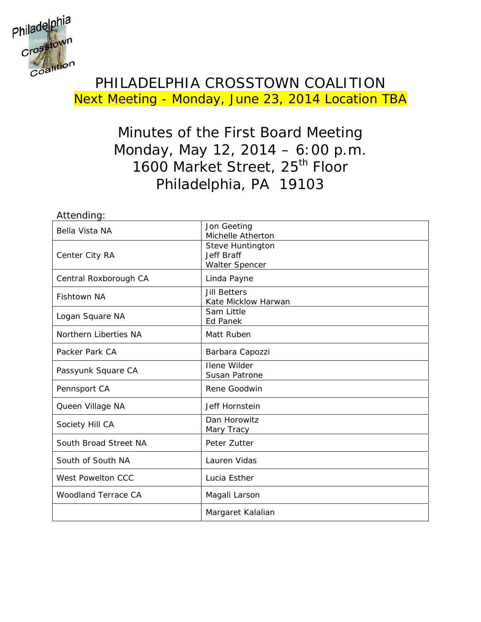

### PHILADELPHIA CROSSTOWN COALITION Next Meeting - Monday, June 23, 2014 Location TBA

### Minutes of the First Board Meeting Monday, May 12, 2014 – 6:00 p.m. 1600 Market Street, 25<sup>th</sup> Floor Philadelphia, PA 19103

| Attending:                 |                                                                |  |
|----------------------------|----------------------------------------------------------------|--|
| Bella Vista NA             | Jon Geeting<br>Michelle Atherton                               |  |
| Center City RA             | Steve Huntington<br><b>Jeff Braff</b><br><b>Walter Spencer</b> |  |
| Central Roxborough CA      | Linda Payne                                                    |  |
| <b>Fishtown NA</b>         | <b>Jill Betters</b><br>Kate Micklow Harwan                     |  |
| Logan Square NA            | Sam Little<br><b>Ed Panek</b>                                  |  |
| Northern Liberties NA      | Matt Ruben                                                     |  |
| Packer Park CA             | Barbara Capozzi                                                |  |
| Passyunk Square CA         | <b>Ilene Wilder</b><br>Susan Patrone                           |  |
| Pennsport CA               | Rene Goodwin                                                   |  |
| Queen Village NA           | Jeff Hornstein                                                 |  |
| Society Hill CA            | Dan Horowitz<br>Mary Tracy                                     |  |
| South Broad Street NA      | Peter Zutter                                                   |  |
| South of South NA          | Lauren Vidas                                                   |  |
| West Powelton CCC          | Lucia Esther                                                   |  |
| <b>Woodland Terrace CA</b> | Magali Larson                                                  |  |
|                            | Margaret Kalalian                                              |  |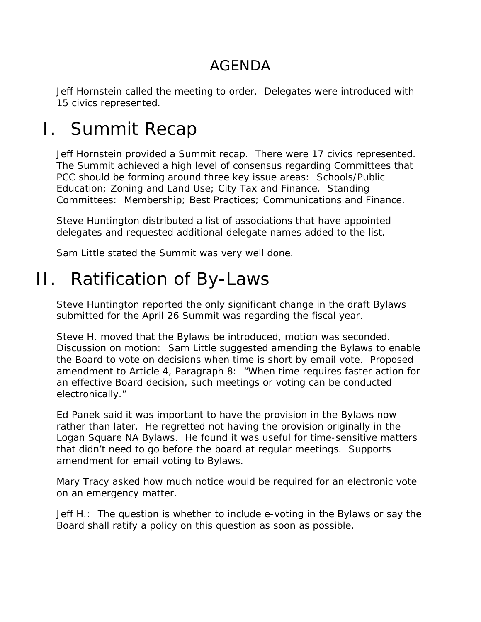## AGENDA

Jeff Hornstein called the meeting to order. Delegates were introduced with 15 civics represented.

# I. Summit Recap

Jeff Hornstein provided a Summit recap. There were 17 civics represented. The Summit achieved a high level of consensus regarding Committees that PCC should be forming around three key issue areas: Schools/Public Education; Zoning and Land Use; City Tax and Finance. Standing Committees: Membership; Best Practices; Communications and Finance.

Steve Huntington distributed a list of associations that have appointed delegates and requested additional delegate names added to the list.

Sam Little stated the Summit was very well done.

# II. Ratification of By-Laws

Steve Huntington reported the only significant change in the draft Bylaws submitted for the April 26 Summit was regarding the fiscal year.

Steve H. moved that the Bylaws be introduced, motion was seconded. Discussion on motion: Sam Little suggested amending the Bylaws to enable the Board to vote on decisions when time is short by email vote. Proposed amendment to Article 4, Paragraph 8: "When time requires faster action for an effective Board decision, such meetings or voting can be conducted electronically."

Ed Panek said it was important to have the provision in the Bylaws now rather than later. He regretted not having the provision originally in the Logan Square NA Bylaws. He found it was useful for time-sensitive matters that didn't need to go before the board at regular meetings. Supports amendment for email voting to Bylaws.

Mary Tracy asked how much notice would be required for an electronic vote on an emergency matter.

Jeff H.: The question is whether to include e-voting in the Bylaws or say the Board shall ratify a policy on this question as soon as possible.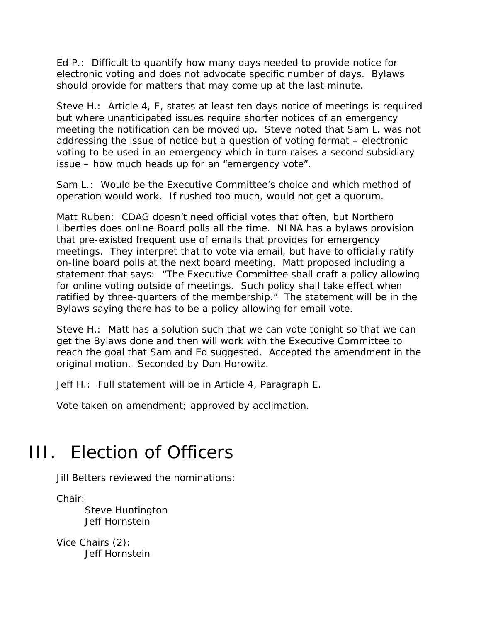Ed P.: Difficult to quantify how many days needed to provide notice for electronic voting and does not advocate specific number of days. Bylaws should provide for matters that may come up at the last minute.

Steve H.: Article 4, E, states at least ten days notice of meetings is required but where unanticipated issues require shorter notices of an emergency meeting the notification can be moved up. Steve noted that Sam L. was not addressing the issue of notice but a question of voting format – electronic voting to be used in an emergency which in turn raises a second subsidiary issue – how much heads up for an "emergency vote".

Sam L.: Would be the Executive Committee's choice and which method of operation would work. If rushed too much, would not get a quorum.

Matt Ruben: CDAG doesn't need official votes that often, but Northern Liberties does online Board polls all the time. NLNA has a bylaws provision that pre-existed frequent use of emails that provides for emergency meetings. They interpret that to vote via email, but have to officially ratify on-line board polls at the next board meeting. Matt proposed including a statement that says: "The Executive Committee shall craft a policy allowing for online voting outside of meetings. Such policy shall take effect when ratified by three-quarters of the membership." The statement will be in the Bylaws saying there has to be a policy allowing for email vote.

Steve H.: Matt has a solution such that we can vote tonight so that we can get the Bylaws done and then will work with the Executive Committee to reach the goal that Sam and Ed suggested. Accepted the amendment in the original motion. Seconded by Dan Horowitz.

Jeff H.: Full statement will be in Article 4, Paragraph E.

Vote taken on amendment; approved by acclimation.

# III. Election of Officers

Jill Betters reviewed the nominations:

Chair:

 Steve Huntington Jeff Hornstein

Vice Chairs (2): Jeff Hornstein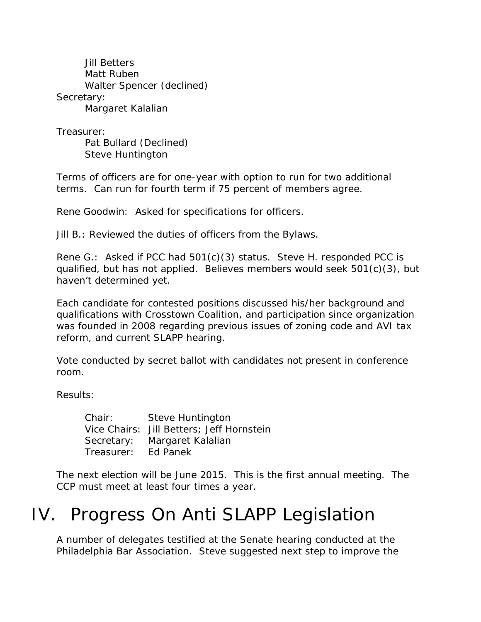Jill Betters Matt Ruben Walter Spencer (declined) Secretary: Margaret Kalalian

Treasurer:

 Pat Bullard (Declined) Steve Huntington

Terms of officers are for one-year with option to run for two additional terms. Can run for fourth term if 75 percent of members agree.

Rene Goodwin: Asked for specifications for officers.

Jill B.: Reviewed the duties of officers from the Bylaws.

Rene G.: Asked if PCC had 501(c)(3) status. Steve H. responded PCC is qualified, but has not applied. Believes members would seek 501(c)(3), but haven't determined yet.

Each candidate for contested positions discussed his/her background and qualifications with Crosstown Coalition, and participation since organization was founded in 2008 regarding previous issues of zoning code and AVI tax reform, and current SLAPP hearing.

Vote conducted by secret ballot with candidates not present in conference room.

Results:

 Chair: Steve Huntington Vice Chairs: Jill Betters; Jeff Hornstein Secretary: Margaret Kalalian Treasurer: Ed Panek

The next election will be June 2015. This is the first annual meeting. The CCP must meet at least four times a year.

## IV. Progress On Anti SLAPP Legislation

A number of delegates testified at the Senate hearing conducted at the Philadelphia Bar Association. Steve suggested next step to improve the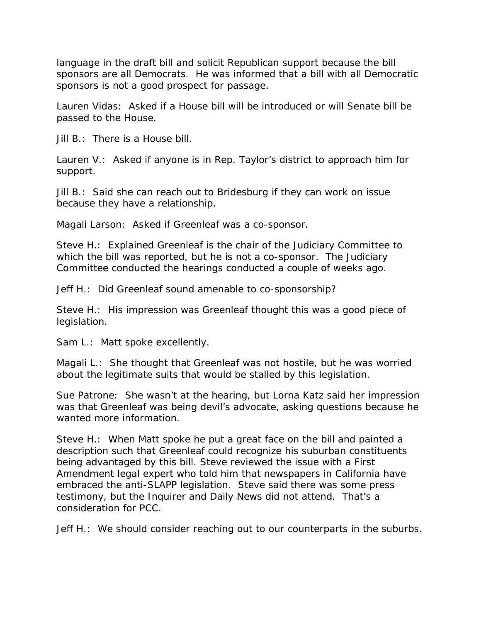language in the draft bill and solicit Republican support because the bill sponsors are all Democrats. He was informed that a bill with all Democratic sponsors is not a good prospect for passage.

Lauren Vidas: Asked if a House bill will be introduced or will Senate bill be passed to the House.

Jill B.: There is a House bill.

Lauren V.: Asked if anyone is in Rep. Taylor's district to approach him for support.

Jill B.: Said she can reach out to Bridesburg if they can work on issue because they have a relationship.

Magali Larson: Asked if Greenleaf was a co-sponsor.

Steve H.: Explained Greenleaf is the chair of the Judiciary Committee to which the bill was reported, but he is not a co-sponsor. The Judiciary Committee conducted the hearings conducted a couple of weeks ago.

Jeff H.: Did Greenleaf sound amenable to co-sponsorship?

Steve H.: His impression was Greenleaf thought this was a good piece of legislation.

Sam L.: Matt spoke excellently.

Magali L.: She thought that Greenleaf was not hostile, but he was worried about the legitimate suits that would be stalled by this legislation.

Sue Patrone: She wasn't at the hearing, but Lorna Katz said her impression was that Greenleaf was being devil's advocate, asking questions because he wanted more information.

Steve H.: When Matt spoke he put a great face on the bill and painted a description such that Greenleaf could recognize his suburban constituents being advantaged by this bill. Steve reviewed the issue with a First Amendment legal expert who told him that newspapers in California have embraced the anti-SLAPP legislation. Steve said there was some press testimony, but the *Inquirer* and *Daily News* did not attend. That's a consideration for PCC.

Jeff H.: We should consider reaching out to our counterparts in the suburbs.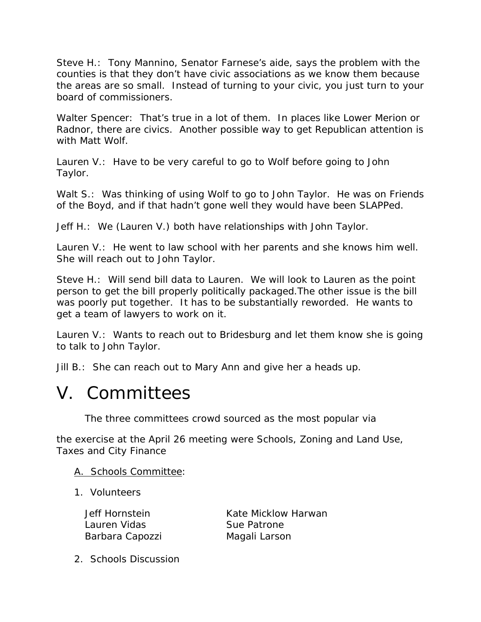Steve H.: Tony Mannino, Senator Farnese's aide, says the problem with the counties is that they don't have civic associations as we know them because the areas are so small. Instead of turning to your civic, you just turn to your board of commissioners.

Walter Spencer: That's true in a lot of them. In places like Lower Merion or Radnor, there are civics. Another possible way to get Republican attention is with Matt Wolf.

Lauren V.: Have to be very careful to go to Wolf before going to John Taylor.

Walt S.: Was thinking of using Wolf to go to John Taylor. He was on Friends of the Boyd, and if that hadn't gone well they would have been SLAPPed.

Jeff H.: We (Lauren V.) both have relationships with John Taylor.

Lauren V.: He went to law school with her parents and she knows him well. She will reach out to John Taylor.

Steve H.: Will send bill data to Lauren. We will look to Lauren as the point person to get the bill properly politically packaged.The other issue is the bill was poorly put together. It has to be substantially reworded. He wants to get a team of lawyers to work on it.

Lauren V.: Wants to reach out to Bridesburg and let them know she is going to talk to John Taylor.

Jill B.: She can reach out to Mary Ann and give her a heads up.

## V. Committees

The three committees crowd sourced as the most popular via

the exercise at the April 26 meeting were Schools, Zoning and Land Use, Taxes and City Finance

### A. Schools Committee:

1. Volunteers

Lauren Vidas Sue Patrone Barbara Capozzi Magali Larson

Jeff Hornstein Kate Micklow Harwan

2. Schools Discussion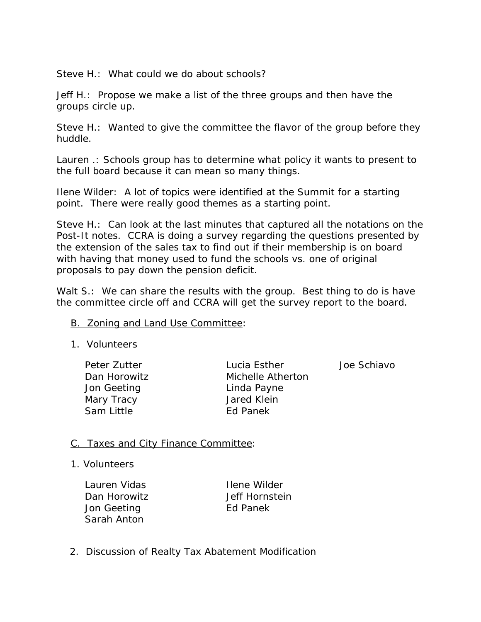Steve H.: What could we do about schools?

Jeff H.: Propose we make a list of the three groups and then have the groups circle up.

Steve H.: Wanted to give the committee the flavor of the group before they huddle.

Lauren .: Schools group has to determine what policy it wants to present to the full board because it can mean so many things.

Ilene Wilder: A lot of topics were identified at the Summit for a starting point. There were really good themes as a starting point.

Steve H.: Can look at the last minutes that captured all the notations on the Post-It notes. CCRA is doing a survey regarding the questions presented by the extension of the sales tax to find out if their membership is on board with having that money used to fund the schools vs. one of original proposals to pay down the pension deficit.

Walt S.: We can share the results with the group. Best thing to do is have the committee circle off and CCRA will get the survey report to the board.

#### **B.** Zoning and Land Use Committee:

- 1. Volunteers
	- Jon Geeting Linda Payne Mary Tracy **Mary Tracy Communist Contract Avenue** Jared Klein Sam Little **Ed Panek**

Peter Zutter Lucia Esther Lucia Esther Love Schiavo Dan Horowitz Michelle Atherton

### C. Taxes and City Finance Committee:

1. Volunteers

Lauren Vidas **Ilene Wilder** Dan Horowitz **Jeff Hornstein** Jon Geeting **Ed Panek** Sarah Anton

2. Discussion of Realty Tax Abatement Modification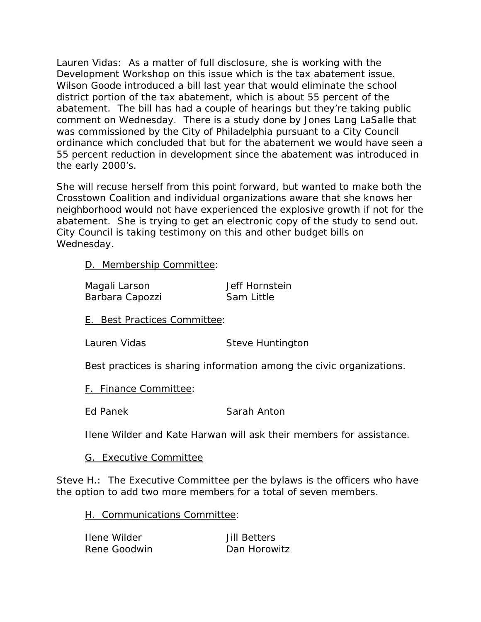Lauren Vidas: As a matter of full disclosure, she is working with the Development Workshop on this issue which is the tax abatement issue. Wilson Goode introduced a bill last year that would eliminate the school district portion of the tax abatement, which is about 55 percent of the abatement. The bill has had a couple of hearings but they're taking public comment on Wednesday. There is a study done by Jones Lang LaSalle that was commissioned by the City of Philadelphia pursuant to a City Council ordinance which concluded that but for the abatement we would have seen a 55 percent reduction in development since the abatement was introduced in the early 2000's.

She will recuse herself from this point forward, but wanted to make both the Crosstown Coalition and individual organizations aware that she knows her neighborhood would not have experienced the explosive growth if not for the abatement. She is trying to get an electronic copy of the study to send out. City Council is taking testimony on this and other budget bills on Wednesday.

D. Membership Committee:

| Magali Larson   | Jeff Hornstein |
|-----------------|----------------|
| Barbara Capozzi | Sam Little     |

E. Best Practices Committee:

Lauren Vidas Steve Huntington

Best practices is sharing information among the civic organizations.

F. Finance Committee:

Ed Panek Sarah Anton

Ilene Wilder and Kate Harwan will ask their members for assistance.

### G. Executive Committee

Steve H.: The Executive Committee per the bylaws is the officers who have the option to add two more members for a total of seven members.

H. Communications Committee:

| Ilene Wilder | <b>Jill Betters</b> |
|--------------|---------------------|
| Rene Goodwin | Dan Horowitz        |